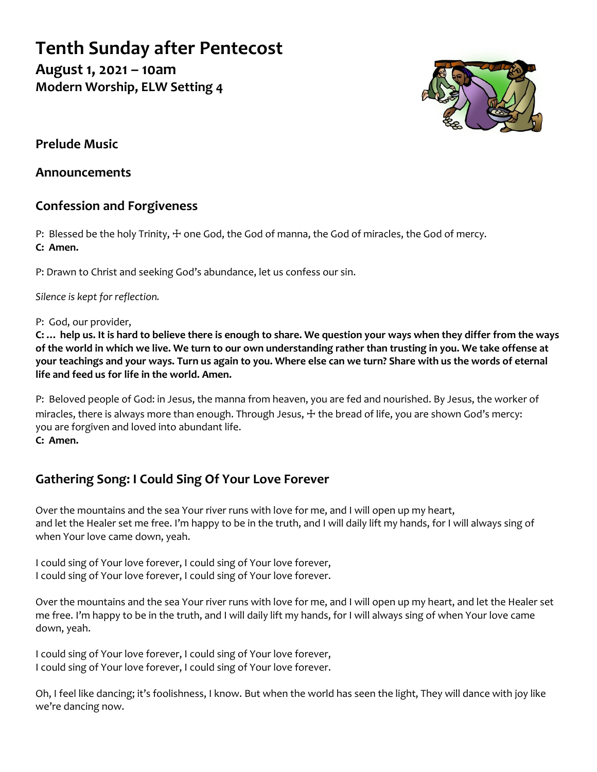# **Tenth Sunday after Pentecost**

**August 1, 2021 – 10am Modern Worship, ELW Setting 4**



**Prelude Music**

**Announcements**

## **Confession and Forgiveness**

P: Blessed be the holy Trinity,  $\pm$  one God, the God of manna, the God of miracles, the God of mercy. **C: Amen.**

P: Drawn to Christ and seeking God's abundance, let us confess our sin.

*Silence is kept for reflection.*

P: God, our provider,

**C: … help us. It is hard to believe there is enough to share. We question your ways when they differ from the ways of the world in which we live. We turn to our own understanding rather than trusting in you. We take offense at your teachings and your ways. Turn us again to you. Where else can we turn? Share with us the words of eternal life and feed us for life in the world. Amen.**

P: Beloved people of God: in Jesus, the manna from heaven, you are fed and nourished. By Jesus, the worker of miracles, there is always more than enough. Through Jesus, ☩ the bread of life, you are shown God's mercy: you are forgiven and loved into abundant life. **C: Amen.**

# **Gathering Song: I Could Sing Of Your Love Forever**

Over the mountains and the sea Your river runs with love for me, and I will open up my heart, and let the Healer set me free. I'm happy to be in the truth, and I will daily lift my hands, for I will always sing of when Your love came down, yeah.

I could sing of Your love forever, I could sing of Your love forever, I could sing of Your love forever, I could sing of Your love forever.

Over the mountains and the sea Your river runs with love for me, and I will open up my heart, and let the Healer set me free. I'm happy to be in the truth, and I will daily lift my hands, for I will always sing of when Your love came down, yeah.

I could sing of Your love forever, I could sing of Your love forever, I could sing of Your love forever, I could sing of Your love forever.

Oh, I feel like dancing; it's foolishness, I know. But when the world has seen the light, They will dance with joy like we're dancing now.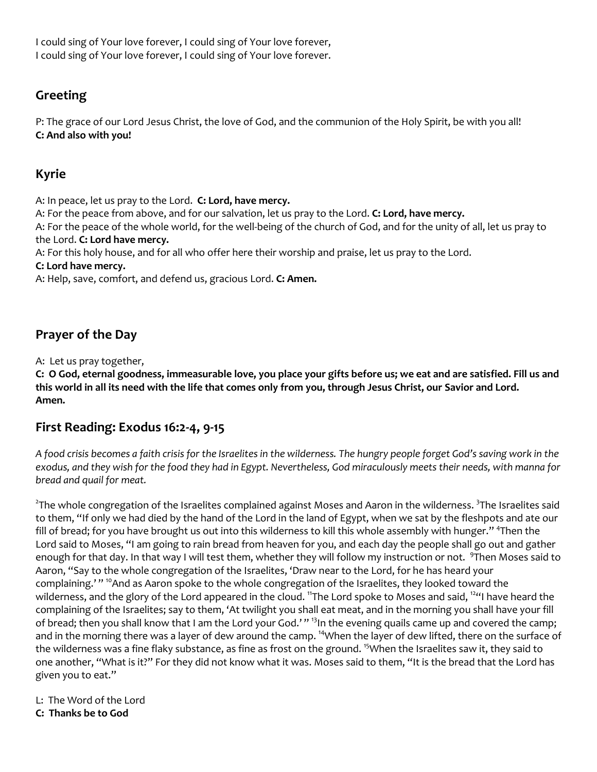I could sing of Your love forever, I could sing of Your love forever, I could sing of Your love forever, I could sing of Your love forever.

# **Greeting**

P: The grace of our Lord Jesus Christ, the love of God, and the communion of the Holy Spirit, be with you all! **C: And also with you!**

## **Kyrie**

A: In peace, let us pray to the Lord. **C: Lord, have mercy.**

A: For the peace from above, and for our salvation, let us pray to the Lord. **C: Lord, have mercy.**

A: For the peace of the whole world, for the well-being of the church of God, and for the unity of all, let us pray to the Lord. **C: Lord have mercy.**

A: For this holy house, and for all who offer here their worship and praise, let us pray to the Lord.

**C: Lord have mercy.**

A: Help, save, comfort, and defend us, gracious Lord. **C: Amen.**

## **Prayer of the Day**

A: Let us pray together,

**C: O God, eternal goodness, immeasurable love, you place your gifts before us; we eat and are satisfied. Fill us and this world in all its need with the life that comes only from you, through Jesus Christ, our Savior and Lord. Amen.**

## **First Reading: Exodus 16:2-4, 9-15**

*A food crisis becomes a faith crisis for the Israelites in the wilderness. The hungry people forget God's saving work in the exodus, and they wish for the food they had in Egypt. Nevertheless, God miraculously meets their needs, with manna for bread and quail for meat.*

 $^2$ The whole congregation of the Israelites complained against Moses and Aaron in the wilderness.  $^3$ The Israelites said to them, "If only we had died by the hand of the Lord in the land of Egypt, when we sat by the fleshpots and ate our fill of bread; for you have brought us out into this wilderness to kill this whole assembly with hunger." <sup>4</sup>Then the Lord said to Moses, "I am going to rain bread from heaven for you, and each day the people shall go out and gather enough for that day. In that way I will test them, whether they will follow my instruction or not. <sup>9</sup>Then Moses said to Aaron, "Say to the whole congregation of the Israelites, 'Draw near to the Lord, for he has heard your complaining.'" <sup>10</sup>And as Aaron spoke to the whole congregation of the Israelites, they looked toward the wilderness, and the glory of the Lord appeared in the cloud. <sup>11</sup>The Lord spoke to Moses and said, <sup>124</sup>I have heard the complaining of the Israelites; say to them, 'At twilight you shall eat meat, and in the morning you shall have your fill of bread; then you shall know that I am the Lord your God.'" <sup>13</sup>In the evening quails came up and covered the camp; and in the morning there was a layer of dew around the camp. <sup>14</sup>When the layer of dew lifted, there on the surface of the wilderness was a fine flaky substance, as fine as frost on the ground. <sup>15</sup>When the Israelites saw it, they said to one another, "What is it?" For they did not know what it was. Moses said to them, "It is the bread that the Lord has given you to eat."

L: The Word of the Lord

**C: Thanks be to God**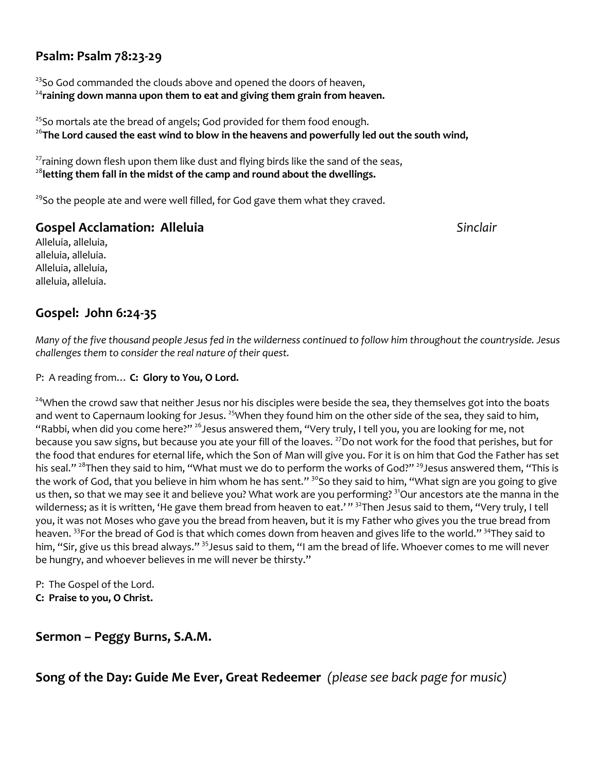## **Psalm: Psalm 78:23-29**

 $^{23}$ So God commanded the clouds above and opened the doors of heaven, <sup>24</sup>**raining down manna upon them to eat and giving them grain from heaven.**

<sup>25</sup>So mortals ate the bread of angels; God provided for them food enough. <sup>26</sup>**The Lord caused the east wind to blow in the heavens and powerfully led out the south wind,**

 $27$ raining down flesh upon them like dust and flying birds like the sand of the seas, <sup>28</sup>**letting them fall in the midst of the camp and round about the dwellings.**

 $^{29}$ So the people ate and were well filled, for God gave them what they craved.

#### **Gospel Acclamation: Alleluia** *Sinclair*

Alleluia, alleluia, alleluia, alleluia. Alleluia, alleluia, alleluia, alleluia.

## **Gospel: John 6:24-35**

*Many of the five thousand people Jesus fed in the wilderness continued to follow him throughout the countryside. Jesus challenges them to consider the real nature of their quest.*

P: A reading from… **C: Glory to You, O Lord.**

<sup>24</sup>When the crowd saw that neither Jesus nor his disciples were beside the sea, they themselves got into the boats and went to Capernaum looking for Jesus. <sup>25</sup>When they found him on the other side of the sea, they said to him, "Rabbi, when did you come here?" <sup>26</sup>Jesus answered them, "Very truly, I tell you, you are looking for me, not because you saw signs, but because you ate your fill of the loaves. <sup>27</sup>Do not work for the food that perishes, but for the food that endures for eternal life, which the Son of Man will give you. For it is on him that God the Father has set his seal." <sup>28</sup>Then they said to him, "What must we do to perform the works of God?" <sup>29</sup>Jesus answered them, "This is the work of God, that you believe in him whom he has sent." <sup>30</sup>So they said to him, "What sign are you going to give us then, so that we may see it and believe you? What work are you performing? <sup>31</sup>Our ancestors ate the manna in the wilderness; as it is written, 'He gave them bread from heaven to eat.' "<sup>32</sup>Then Jesus said to them, "Very truly, I tell you, it was not Moses who gave you the bread from heaven, but it is my Father who gives you the true bread from heaven. <sup>33</sup>For the bread of God is that which comes down from heaven and gives life to the world." <sup>34</sup>They said to him, "Sir, give us this bread always." <sup>35</sup> Jesus said to them, "I am the bread of life. Whoever comes to me will never be hungry, and whoever believes in me will never be thirsty."

P: The Gospel of the Lord.

**C: Praise to you, O Christ.**

**Sermon – Peggy Burns, S.A.M.**

**Song of the Day: Guide Me Ever, Great Redeemer** *(please see back page for music)*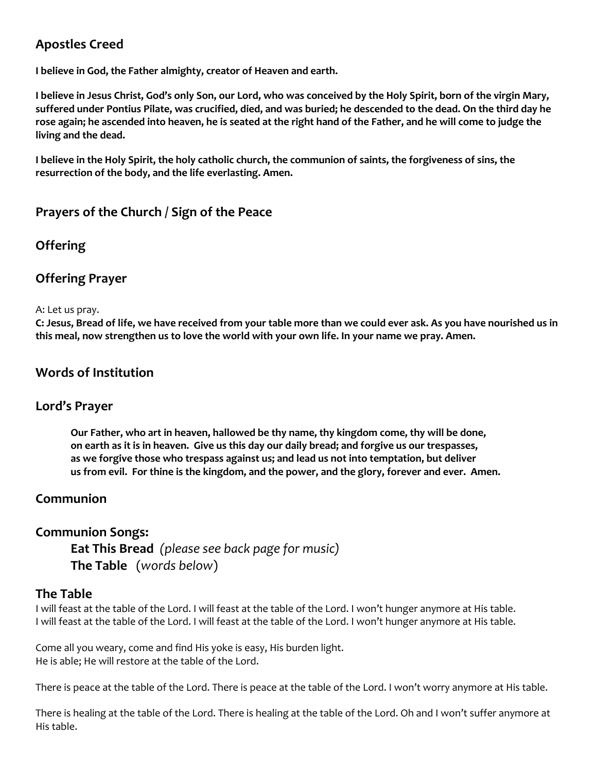## **Apostles Creed**

**I believe in God, the Father almighty, creator of Heaven and earth.** 

**I believe in Jesus Christ, God's only Son, our Lord, who was conceived by the Holy Spirit, born of the virgin Mary, suffered under Pontius Pilate, was crucified, died, and was buried; he descended to the dead. On the third day he rose again; he ascended into heaven, he is seated at the right hand of the Father, and he will come to judge the living and the dead.**

**I believe in the Holy Spirit, the holy catholic church, the communion of saints, the forgiveness of sins, the resurrection of the body, and the life everlasting. Amen.**

## **Prayers of the Church / Sign of the Peace**

**Offering**

## **Offering Prayer**

#### A: Let us pray.

**C: Jesus, Bread of life, we have received from your table more than we could ever ask. As you have nourished us in this meal, now strengthen us to love the world with your own life. In your name we pray. Amen.**

## **Words of Institution**

#### **Lord's Prayer**

**Our Father, who art in heaven, hallowed be thy name, thy kingdom come, thy will be done, on earth as it is in heaven. Give us this day our daily bread; and forgive us our trespasses, as we forgive those who trespass against us; and lead us not into temptation, but deliver us from evil. For thine is the kingdom, and the power, and the glory, forever and ever. Amen.**

## **Communion**

## **Communion Songs:**

**Eat This Bread** *(please see back page for music)* **The Table** (*words below*)

## **The Table**

I will feast at the table of the Lord. I will feast at the table of the Lord. I won't hunger anymore at His table. I will feast at the table of the Lord. I will feast at the table of the Lord. I won't hunger anymore at His table.

Come all you weary, come and find His yoke is easy, His burden light. He is able; He will restore at the table of the Lord.

There is peace at the table of the Lord. There is peace at the table of the Lord. I won't worry anymore at His table.

There is healing at the table of the Lord. There is healing at the table of the Lord. Oh and I won't suffer anymore at His table.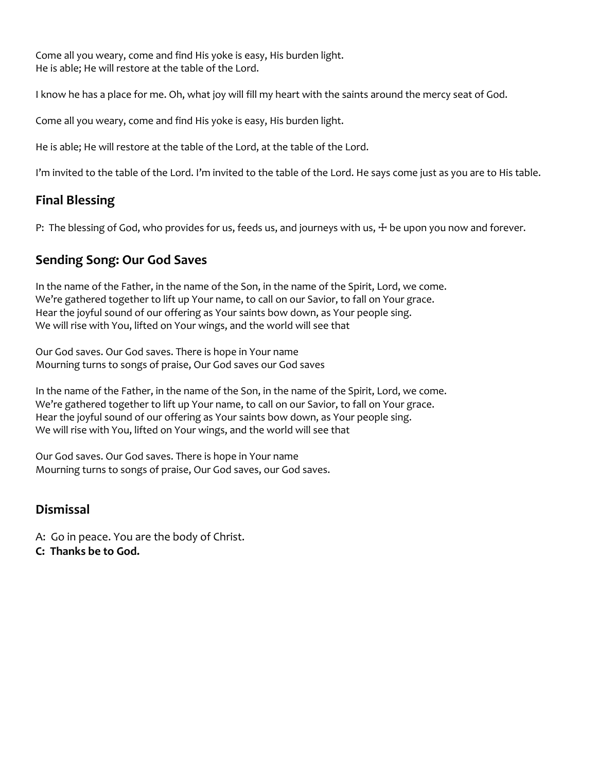Come all you weary, come and find His yoke is easy, His burden light. He is able; He will restore at the table of the Lord.

I know he has a place for me. Oh, what joy will fill my heart with the saints around the mercy seat of God.

Come all you weary, come and find His yoke is easy, His burden light.

He is able; He will restore at the table of the Lord, at the table of the Lord.

I'm invited to the table of the Lord. I'm invited to the table of the Lord. He says come just as you are to His table.

## **Final Blessing**

P: The blessing of God, who provides for us, feeds us, and journeys with us,  $\pm$  be upon you now and forever.

## **Sending Song: Our God Saves**

In the name of the Father, in the name of the Son, in the name of the Spirit, Lord, we come. We're gathered together to lift up Your name, to call on our Savior, to fall on Your grace. Hear the joyful sound of our offering as Your saints bow down, as Your people sing. We will rise with You, lifted on Your wings, and the world will see that

Our God saves. Our God saves. There is hope in Your name Mourning turns to songs of praise, Our God saves our God saves

In the name of the Father, in the name of the Son, in the name of the Spirit, Lord, we come. We're gathered together to lift up Your name, to call on our Savior, to fall on Your grace. Hear the joyful sound of our offering as Your saints bow down, as Your people sing. We will rise with You, lifted on Your wings, and the world will see that

Our God saves. Our God saves. There is hope in Your name Mourning turns to songs of praise, Our God saves, our God saves.

## **Dismissal**

A: Go in peace. You are the body of Christ.

**C: Thanks be to God.**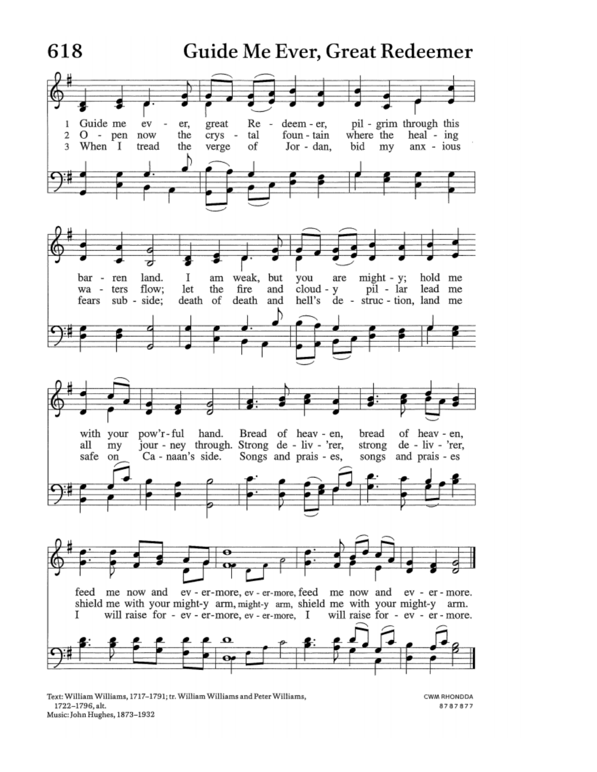

Text: William Williams, 1717-1791; tr. William Williams and Peter Williams, 1722-1796, alt. Music: John Hughes, 1873-1932

CWM RHONDDA 8787877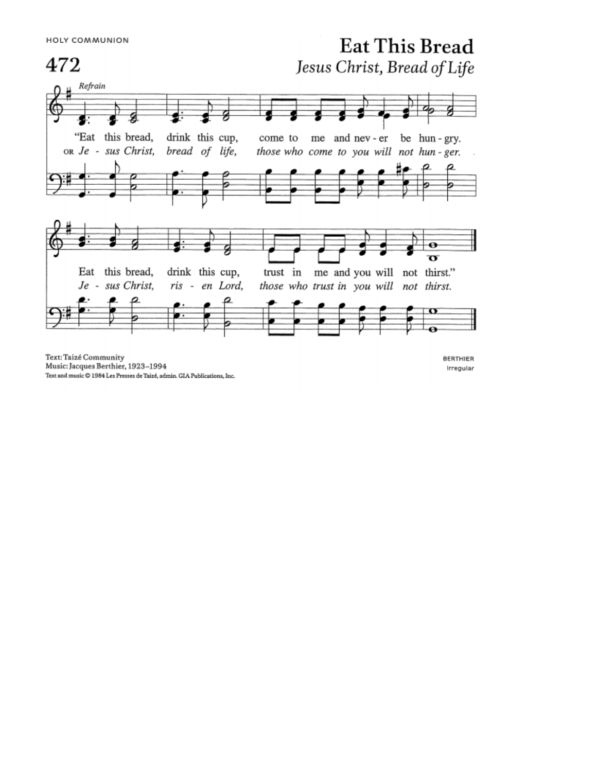#### **Eat This Bread** 472 Jesus Christ, Bread of Life Refrain 붱 n З 1 "Eat this bread, drink this cup, come to me and nev-er be hun-gry. OR Je - sus Christ, bread of life, those who come to you will not hun-ger. i,  $\bullet$  $\sigma$ Eat this bread, drink this cup, trust in me and you will not thirst."  $Je$ sus Christ, ris - en Lord, those who trust in you will not thirst.

Text: Taizé Community Music: Jacques Berthier, 1923-1994 Text and music © 1984 Les Presses de Taizé, admin. GIA Publications, Inc. BERTHIER Irregular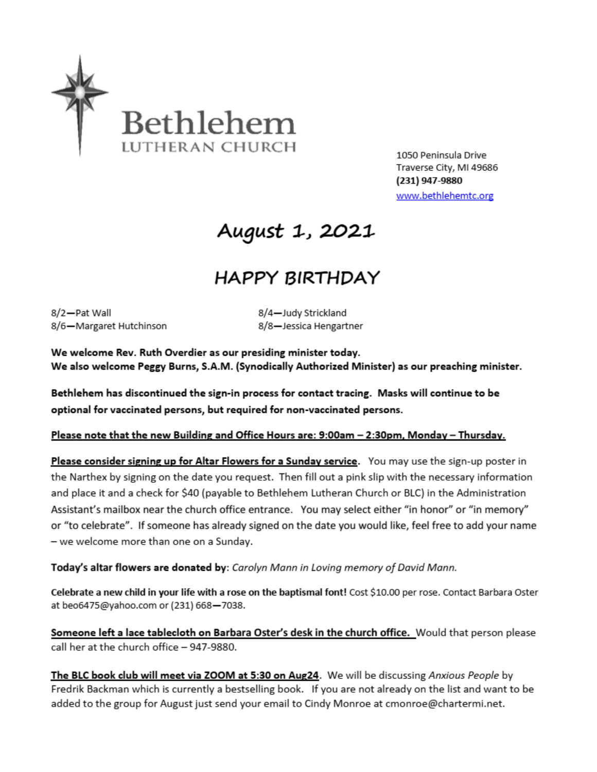

1050 Peninsula Drive Traverse City, MI 49686 (231) 947-9880 www.bethlehemtc.org

# August 1, 2021

# **HAPPY BIRTHDAY**

8/2-Pat Wall 8/6-Margaret Hutchinson 8/4-Judy Strickland 8/8-Jessica Hengartner

We welcome Rev. Ruth Overdier as our presiding minister today. We also welcome Peggy Burns, S.A.M. (Synodically Authorized Minister) as our preaching minister.

Bethlehem has discontinued the sign-in process for contact tracing. Masks will continue to be optional for vaccinated persons, but required for non-vaccinated persons.

#### Please note that the new Building and Office Hours are: 9:00am - 2:30pm, Monday - Thursday.

Please consider signing up for Altar Flowers for a Sunday service. You may use the sign-up poster in the Narthex by signing on the date you request. Then fill out a pink slip with the necessary information and place it and a check for \$40 (payable to Bethlehem Lutheran Church or BLC) in the Administration Assistant's mailbox near the church office entrance. You may select either "in honor" or "in memory" or "to celebrate". If someone has already signed on the date you would like, feel free to add your name - we welcome more than one on a Sunday.

Today's altar flowers are donated by: Carolyn Mann in Loving memory of David Mann.

Celebrate a new child in your life with a rose on the baptismal font! Cost \$10.00 per rose. Contact Barbara Oster at beo6475@yahoo.com or (231) 668-7038.

Someone left a lace tablecloth on Barbara Oster's desk in the church office. Would that person please call her at the church office - 947-9880.

The BLC book club will meet via ZOOM at 5:30 on Aug24. We will be discussing Anxious People by Fredrik Backman which is currently a bestselling book. If you are not already on the list and want to be added to the group for August just send your email to Cindy Monroe at cmonroe@chartermi.net.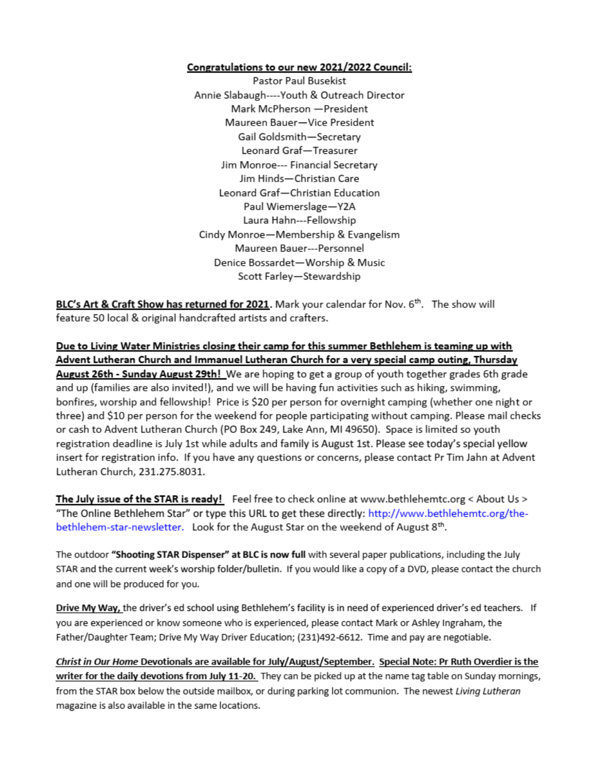#### Congratulations to our new 2021/2022 Council:

Pastor Paul Busekist Annie Slabaugh---- Youth & Outreach Director Mark McPherson - President Maureen Bauer-Vice President Gail Goldsmith-Secretary Leonard Graf-Treasurer Jim Monroe--- Financial Secretary Jim Hinds-Christian Care Leonard Graf-Christian Education Paul Wiemerslage-Y2A Laura Hahn---Fellowship Cindy Monroe-Membership & Evangelism Maureen Bauer---Personnel Denice Bossardet-Worship & Music Scott Farley-Stewardship

BLC's Art & Craft Show has returned for 2021. Mark your calendar for Nov. 6th. The show will feature 50 local & original handcrafted artists and crafters.

Due to Living Water Ministries closing their camp for this summer Bethlehem is teaming up with Advent Lutheran Church and Immanuel Lutheran Church for a very special camp outing, Thursday August 26th - Sunday August 29th! We are hoping to get a group of youth together grades 6th grade and up (families are also invited!), and we will be having fun activities such as hiking, swimming, bonfires, worship and fellowship! Price is \$20 per person for overnight camping (whether one night or three) and \$10 per person for the weekend for people participating without camping. Please mail checks or cash to Advent Lutheran Church (PO Box 249, Lake Ann, MI 49650). Space is limited so youth registration deadline is July 1st while adults and family is August 1st. Please see today's special yellow insert for registration info. If you have any questions or concerns, please contact Pr Tim Jahn at Advent Lutheran Church, 231.275.8031.

The July issue of the STAR is ready! Feel free to check online at www.bethlehemtc.org < About Us > "The Online Bethlehem Star" or type this URL to get these directly: http://www.bethlehemtc.org/thebethlehem-star-newsletter. Look for the August Star on the weekend of August 8th.

The outdoor "Shooting STAR Dispenser" at BLC is now full with several paper publications, including the July STAR and the current week's worship folder/bulletin. If you would like a copy of a DVD, please contact the church and one will be produced for you.

Drive My Way, the driver's ed school using Bethlehem's facility is in need of experienced driver's ed teachers. If you are experienced or know someone who is experienced, please contact Mark or Ashley Ingraham, the Father/Daughter Team; Drive My Way Driver Education; (231)492-6612. Time and pay are negotiable.

Christ in Our Home Devotionals are available for July/August/September. Special Note: Pr Ruth Overdier is the writer for the daily devotions from July 11-20. They can be picked up at the name tag table on Sunday mornings, from the STAR box below the outside mailbox, or during parking lot communion. The newest Living Lutheran magazine is also available in the same locations.